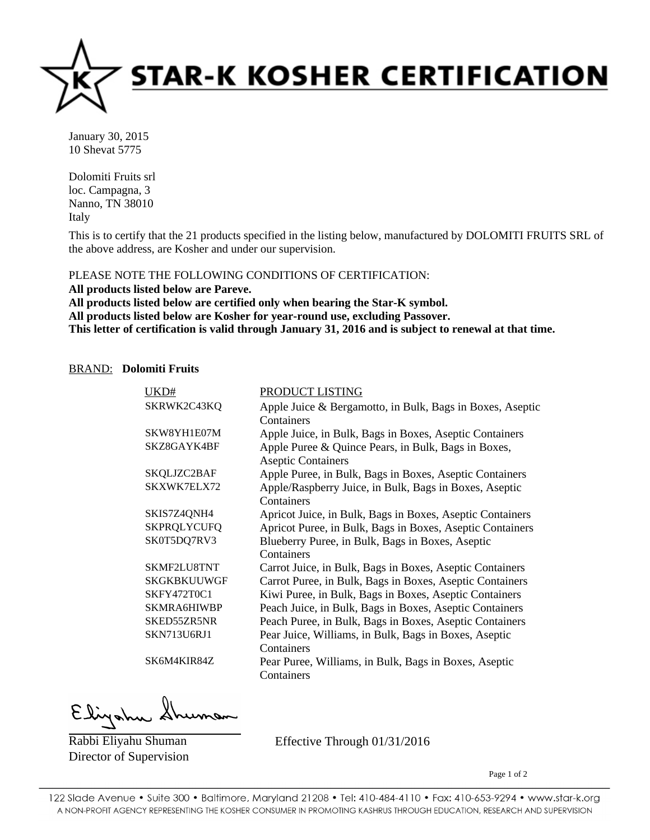

January 30, 2015 10 Shevat 5775

Dolomiti Fruits srl loc. Campagna, 3 Nanno, TN 38010 Italy

This is to certify that the 21 products specified in the listing below, manufactured by DOLOMITI FRUITS SRL of the above address, are Kosher and under our supervision.

PLEASE NOTE THE FOLLOWING CONDITIONS OF CERTIFICATION:

**All products listed below are Pareve. All products listed below are certified only when bearing the Star-K symbol. All products listed below are Kosher for year-round use, excluding Passover. This letter of certification is valid through January 31, 2016 and is subject to renewal at that time.**

## BRAND: **Dolomiti Fruits**

| UKD#               | PRODUCT LISTING                                           |
|--------------------|-----------------------------------------------------------|
| SKRWK2C43KQ        | Apple Juice & Bergamotto, in Bulk, Bags in Boxes, Aseptic |
|                    | Containers                                                |
| SKW8YH1E07M        | Apple Juice, in Bulk, Bags in Boxes, Aseptic Containers   |
| SKZ8GAYK4BF        | Apple Puree & Quince Pears, in Bulk, Bags in Boxes,       |
|                    | <b>Aseptic Containers</b>                                 |
| SKQLJZC2BAF        | Apple Puree, in Bulk, Bags in Boxes, Aseptic Containers   |
| SKXWK7ELX72        | Apple/Raspberry Juice, in Bulk, Bags in Boxes, Aseptic    |
|                    | Containers                                                |
| SKIS7Z4QNH4        | Apricot Juice, in Bulk, Bags in Boxes, Aseptic Containers |
| <b>SKPRQLYCUFQ</b> | Apricot Puree, in Bulk, Bags in Boxes, Aseptic Containers |
| SK0T5DQ7RV3        | Blueberry Puree, in Bulk, Bags in Boxes, Aseptic          |
|                    | Containers                                                |
| SKMF2LU8TNT        | Carrot Juice, in Bulk, Bags in Boxes, Aseptic Containers  |
| <b>SKGKBKUUWGF</b> | Carrot Puree, in Bulk, Bags in Boxes, Aseptic Containers  |
| SKFY472T0C1        | Kiwi Puree, in Bulk, Bags in Boxes, Aseptic Containers    |
| <b>SKMRA6HIWBP</b> | Peach Juice, in Bulk, Bags in Boxes, Aseptic Containers   |
| SKED55ZR5NR        | Peach Puree, in Bulk, Bags in Boxes, Aseptic Containers   |
| <b>SKN713U6RJ1</b> | Pear Juice, Williams, in Bulk, Bags in Boxes, Aseptic     |
|                    | Containers                                                |
| SK6M4KIR84Z        | Pear Puree, Williams, in Bulk, Bags in Boxes, Aseptic     |
|                    | Containers                                                |

Elina

Rabbi Eliyahu Shuman Director of Supervision

Effective Through 01/31/2016

Page 1 of 2